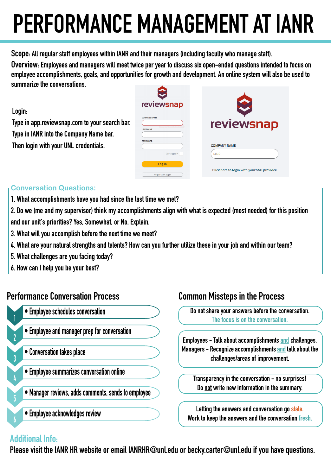# **PERFORMANCE MANAGEMENT AT IANR**

**Scope: All regular staff employees within IANR and their managers (including faculty who manage staff).**

**Overview: Employees and managers will meet twice per year to discuss six open-ended questions intended to focus on employee accomplishments, goals, and opportunities for growth and development. An online system will also be used to summarize the conversations.** 

| UWIIIIIWI ILU WIU VUIITUI UWWUTIU.             |                      |                                             |
|------------------------------------------------|----------------------|---------------------------------------------|
|                                                | reviewsnap           |                                             |
| Login:                                         | <b>COMPANY NAME</b>  |                                             |
| Type in app.reviewsnap.com to your search bar. |                      | reviewsnap                                  |
| Type in IANR into the Company Name bar.        | <b>USERNAME</b>      |                                             |
| Then login with your UNL credentials.          | <b>PASSWORD</b>      | <b>COMPANY NAME</b>                         |
|                                                | Stay logged in       | <b>IANR</b>                                 |
|                                                | Log in               | Click here to login with your SSO provider. |
|                                                | Help! I can't log in |                                             |

#### **Conversation Questions:**

- **1. What accomplishments have you had since the last time we met?**
- **2. Do we (me and my supervisor) think my accomplishments align with what is expected (most needed) for this position and our unit's priorities? Yes, Somewhat, or No. Explain.**
- **3. What will you accomplish before the next time we meet?**
- **4. What are your natural strengths and talents? How can you further utilize these in your job and within our team?**
- **5. What challenges are you facing today?**
- **6. How can I help you be your best?**

## **Performance Conversation Process Common Missteps in the Process**

- **Employee schedules conversation**
- **Employee and manager prep for conversation**
- **Conversation takes place**
- **Employee summarizes conversation online**
- **Manager reviews, adds comments, sends to employee**
- **Employee acknowledges review**

**Do not share your answers before the conversation. The focus is on the conversation.**

**Employees - Talk about accomplishments and challenges.** Managers - Recognize accomplishments and talk about the **challenges/areas of improvement.**

**Transparency in the conversation - no surprises! Do not write new information in the summary.**

**Letting the answers and conversation go stale. Work to keep the answers and the conversation fresh.**

### **Additional Info:**

**1**

**2**

**3**

**4**

**5**

**6**

**Please visit the IANR HR website or email IANRHR@unl.edu or becky.carter@unl.edu if you have questions.**